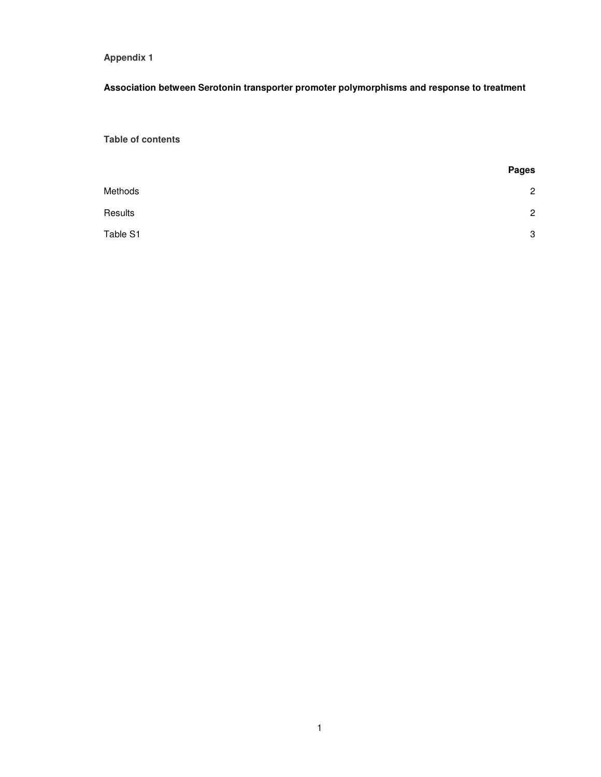## **Appendix 1**

## **Association between Serotonin transporter promoter polymorphisms and response to treatment**

**Table of contents** 

|          | <b>Pages</b>   |
|----------|----------------|
| Methods  | $\overline{2}$ |
| Results  | $\overline{c}$ |
| Table S1 | 3              |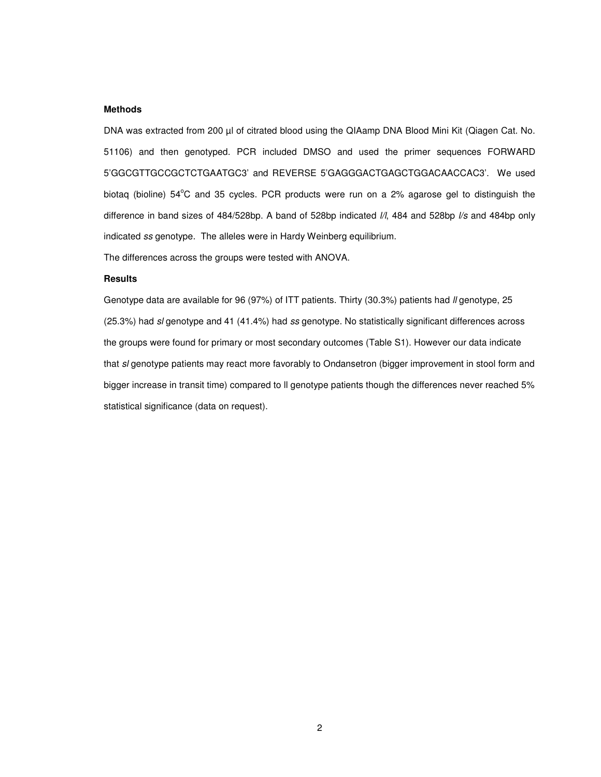## **Methods**

DNA was extracted from 200 µl of citrated blood using the QIAamp DNA Blood Mini Kit (Qiagen Cat. No. 51106) and then genotyped. PCR included DMSO and used the primer sequences FORWARD 5'GGCGTTGCCGCTCTGAATGC3' and REVERSE 5'GAGGGACTGAGCTGGACAACCAC3'. We used biotaq (bioline)  $54^{\circ}$ C and 35 cycles. PCR products were run on a 2% agarose gel to distinguish the difference in band sizes of 484/528bp. A band of 528bp indicated *I/I*, 484 and 528bp *I/s* and 484bp only indicated ss genotype. The alleles were in Hardy Weinberg equilibrium.

The differences across the groups were tested with ANOVA.

## **Results**

Genotype data are available for 96 (97%) of ITT patients. Thirty (30.3%) patients had *II* genotype, 25 (25.3%) had sl genotype and 41 (41.4%) had ss genotype. No statistically significant differences across the groups were found for primary or most secondary outcomes (Table S1). However our data indicate that sl genotype patients may react more favorably to Ondansetron (bigger improvement in stool form and bigger increase in transit time) compared to ll genotype patients though the differences never reached 5% statistical significance (data on request).